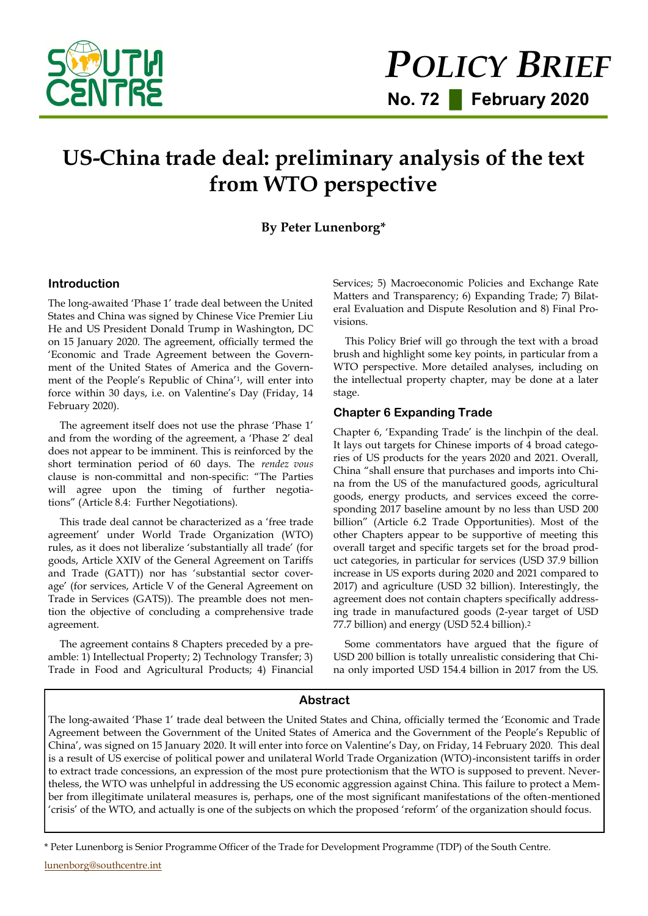

# **US-China trade deal: preliminary analysis of the text from WTO perspective**

# **By Peter Lunenborg\***

#### **Introduction**

The long-awaited 'Phase 1' trade deal between the United States and China was signed by Chinese Vice Premier Liu He and US President Donald Trump in Washington, DC on 15 January 2020. The agreement, officially termed the 'Economic and Trade Agreement between the Government of the United States of America and the Government of the People's Republic of China'1, will enter into force within 30 days, i.e. on Valentine's Day (Friday, 14 February 2020).

The agreement itself does not use the phrase 'Phase 1' and from the wording of the agreement, a 'Phase 2' deal does not appear to be imminent. This is reinforced by the short termination period of 60 days. The *rendez vous* clause is non-committal and non-specific: "The Parties will agree upon the timing of further negotiations" (Article 8.4: Further Negotiations).

This trade deal cannot be characterized as a 'free trade agreement' under World Trade Organization (WTO) rules, as it does not liberalize 'substantially all trade' (for goods, Article XXIV of the General Agreement on Tariffs and Trade (GATT)) nor has 'substantial sector coverage' (for services, Article V of the General Agreement on Trade in Services (GATS)). The preamble does not mention the objective of concluding a comprehensive trade agreement.

The agreement contains 8 Chapters preceded by a preamble: 1) Intellectual Property; 2) Technology Transfer; 3) Trade in Food and Agricultural Products; 4) Financial Services; 5) Macroeconomic Policies and Exchange Rate Matters and Transparency; 6) Expanding Trade; 7) Bilateral Evaluation and Dispute Resolution and 8) Final Provisions.

This Policy Brief will go through the text with a broad brush and highlight some key points, in particular from a WTO perspective. More detailed analyses, including on the intellectual property chapter, may be done at a later stage.

## **Chapter 6 Expanding Trade**

Chapter 6, 'Expanding Trade' is the linchpin of the deal. It lays out targets for Chinese imports of 4 broad categories of US products for the years 2020 and 2021. Overall, China "shall ensure that purchases and imports into China from the US of the manufactured goods, agricultural goods, energy products, and services exceed the corresponding 2017 baseline amount by no less than USD 200 billion" (Article 6.2 Trade Opportunities). Most of the other Chapters appear to be supportive of meeting this overall target and specific targets set for the broad product categories, in particular for services (USD 37.9 billion increase in US exports during 2020 and 2021 compared to 2017) and agriculture (USD 32 billion). Interestingly, the agreement does not contain chapters specifically addressing trade in manufactured goods (2-year target of USD 77.7 billion) and energy (USD 52.4 billion).<sup>2</sup>

Some commentators have argued that the figure of USD 200 billion is totally unrealistic considering that China only imported USD 154.4 billion in 2017 from the US.

## **Abstract**

The long-awaited 'Phase 1' trade deal between the United States and China, officially termed the 'Economic and Trade Agreement between the Government of the United States of America and the Government of the People's Republic of China', was signed on 15 January 2020. It will enter into force on Valentine's Day, on Friday, 14 February 2020. This deal is a result of US exercise of political power and unilateral World Trade Organization (WTO)-inconsistent tariffs in order to extract trade concessions, an expression of the most pure protectionism that the WTO is supposed to prevent. Nevertheless, the WTO was unhelpful in addressing the US economic aggression against China. This failure to protect a Member from illegitimate unilateral measures is, perhaps, one of the most significant manifestations of the often-mentioned 'crisis' of the WTO, and actually is one of the subjects on which the proposed 'reform' of the organization should focus.

<sup>\*</sup> Peter Lunenborg is Senior Programme Officer of the Trade for Development Programme (TDP) of the South Centre.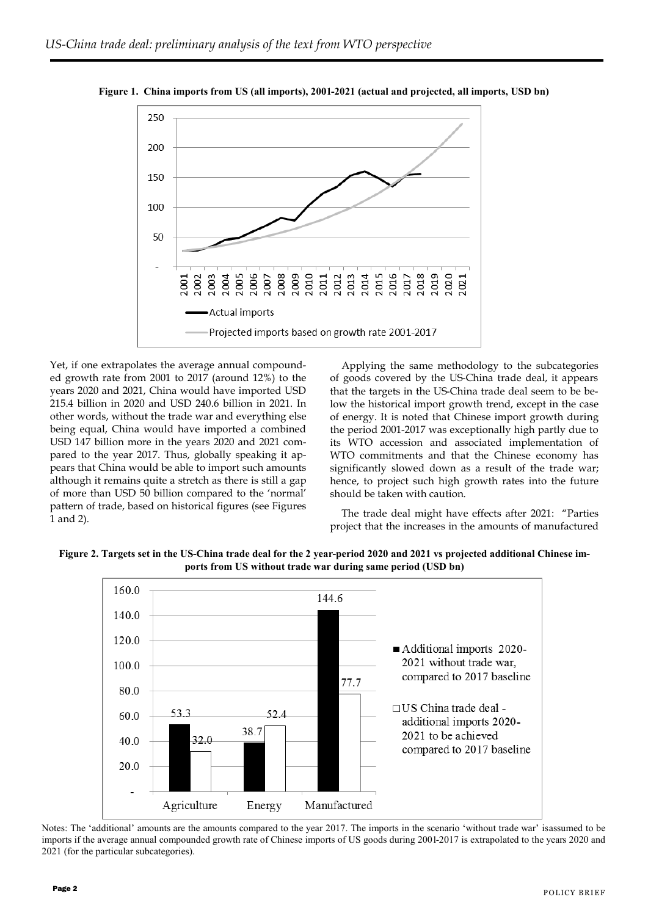

**Figure 1. China imports from US (all imports), 2001-2021 (actual and projected, all imports, USD bn)**

Yet, if one extrapolates the average annual compounded growth rate from 2001 to 2017 (around 12%) to the years 2020 and 2021, China would have imported USD 215.4 billion in 2020 and USD 240.6 billion in 2021. In other words, without the trade war and everything else being equal, China would have imported a combined USD 147 billion more in the years 2020 and 2021 compared to the year 2017. Thus, globally speaking it appears that China would be able to import such amounts although it remains quite a stretch as there is still a gap of more than USD 50 billion compared to the 'normal' pattern of trade, based on historical figures (see Figures 1 and 2).

Applying the same methodology to the subcategories of goods covered by the US-China trade deal, it appears that the targets in the US-China trade deal seem to be below the historical import growth trend, except in the case of energy. It is noted that Chinese import growth during the period 2001-2017 was exceptionally high partly due to its WTO accession and associated implementation of WTO commitments and that the Chinese economy has significantly slowed down as a result of the trade war; hence, to project such high growth rates into the future should be taken with caution.

The trade deal might have effects after 2021: "Parties project that the increases in the amounts of manufactured

**Figure 2. Targets set in the US-China trade deal for the 2 year-period 2020 and 2021 vs projected additional Chinese imports from US without trade war during same period (USD bn)** 



Notes: The 'additional' amounts are the amounts compared to the year 2017. The imports in the scenario 'without trade war' isassumed to be imports if the average annual compounded growth rate of Chinese imports of US goods during 2001-2017 is extrapolated to the years 2020 and 2021 (for the particular subcategories).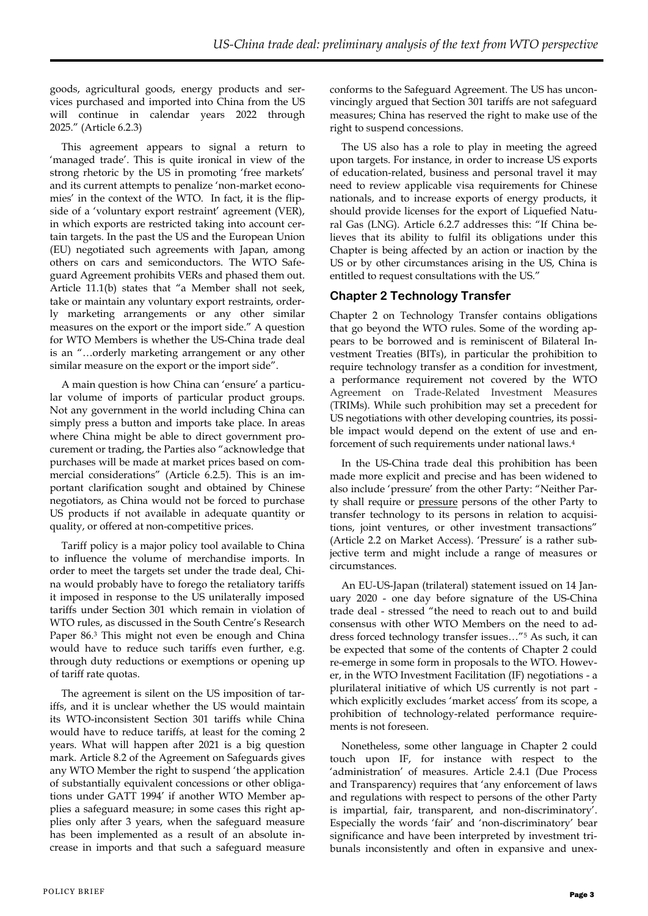goods, agricultural goods, energy products and services purchased and imported into China from the US will continue in calendar years 2022 through 2025." (Article 6.2.3)

This agreement appears to signal a return to 'managed trade'. This is quite ironical in view of the strong rhetoric by the US in promoting 'free markets' and its current attempts to penalize 'non-market economies' in the context of the WTO. In fact, it is the flipside of a 'voluntary export restraint' agreement (VER), in which exports are restricted taking into account certain targets. In the past the US and the European Union (EU) negotiated such agreements with Japan, among others on cars and semiconductors. The WTO Safeguard Agreement prohibits VERs and phased them out. Article 11.1(b) states that "a Member shall not seek, take or maintain any voluntary export restraints, orderly marketing arrangements or any other similar measures on the export or the import side." A question for WTO Members is whether the US-China trade deal is an "…orderly marketing arrangement or any other similar measure on the export or the import side".

A main question is how China can 'ensure' a particular volume of imports of particular product groups. Not any government in the world including China can simply press a button and imports take place. In areas where China might be able to direct government procurement or trading, the Parties also "acknowledge that purchases will be made at market prices based on commercial considerations" (Article 6.2.5). This is an important clarification sought and obtained by Chinese negotiators, as China would not be forced to purchase US products if not available in adequate quantity or quality, or offered at non-competitive prices.

Tariff policy is a major policy tool available to China to influence the volume of merchandise imports. In order to meet the targets set under the trade deal, China would probably have to forego the retaliatory tariffs it imposed in response to the US unilaterally imposed tariffs under Section 301 which remain in violation of WTO rules, as discussed in the South Centre's Research Paper 86.<sup>3</sup> This might not even be enough and China would have to reduce such tariffs even further, e.g. through duty reductions or exemptions or opening up of tariff rate quotas.

The agreement is silent on the US imposition of tariffs, and it is unclear whether the US would maintain its WTO-inconsistent Section 301 tariffs while China would have to reduce tariffs, at least for the coming 2 years. What will happen after 2021 is a big question mark. Article 8.2 of the Agreement on Safeguards gives any WTO Member the right to suspend 'the application of substantially equivalent concessions or other obligations under GATT 1994' if another WTO Member applies a safeguard measure; in some cases this right applies only after 3 years, when the safeguard measure has been implemented as a result of an absolute increase in imports and that such a safeguard measure

conforms to the Safeguard Agreement. The US has unconvincingly argued that Section 301 tariffs are not safeguard measures; China has reserved the right to make use of the right to suspend concessions.

The US also has a role to play in meeting the agreed upon targets. For instance, in order to increase US exports of education-related, business and personal travel it may need to review applicable visa requirements for Chinese nationals, and to increase exports of energy products, it should provide licenses for the export of Liquefied Natural Gas (LNG). Article 6.2.7 addresses this: "If China believes that its ability to fulfil its obligations under this Chapter is being affected by an action or inaction by the US or by other circumstances arising in the US, China is entitled to request consultations with the US."

## **Chapter 2 Technology Transfer**

Chapter 2 on Technology Transfer contains obligations that go beyond the WTO rules. Some of the wording appears to be borrowed and is reminiscent of Bilateral Investment Treaties (BITs), in particular the prohibition to require technology transfer as a condition for investment, a performance requirement not covered by the WTO Agreement on Trade-Related Investment Measures (TRIMs). While such prohibition may set a precedent for US negotiations with other developing countries, its possible impact would depend on the extent of use and enforcement of such requirements under national laws.<sup>4</sup>

In the US-China trade deal this prohibition has been made more explicit and precise and has been widened to also include 'pressure' from the other Party: "Neither Party shall require or pressure persons of the other Party to transfer technology to its persons in relation to acquisitions, joint ventures, or other investment transactions" (Article 2.2 on Market Access). 'Pressure' is a rather subjective term and might include a range of measures or circumstances.

An EU-US-Japan (trilateral) statement issued on 14 January 2020 - one day before signature of the US-China trade deal - stressed "the need to reach out to and build consensus with other WTO Members on the need to address forced technology transfer issues…"<sup>5</sup> As such, it can be expected that some of the contents of Chapter 2 could re-emerge in some form in proposals to the WTO. However, in the WTO Investment Facilitation (IF) negotiations - a plurilateral initiative of which US currently is not part which explicitly excludes 'market access' from its scope, a prohibition of technology-related performance requirements is not foreseen.

Nonetheless, some other language in Chapter 2 could touch upon IF, for instance with respect to the 'administration' of measures. Article 2.4.1 (Due Process and Transparency) requires that 'any enforcement of laws and regulations with respect to persons of the other Party is impartial, fair, transparent, and non-discriminatory'. Especially the words 'fair' and 'non-discriminatory' bear significance and have been interpreted by investment tribunals inconsistently and often in expansive and unex-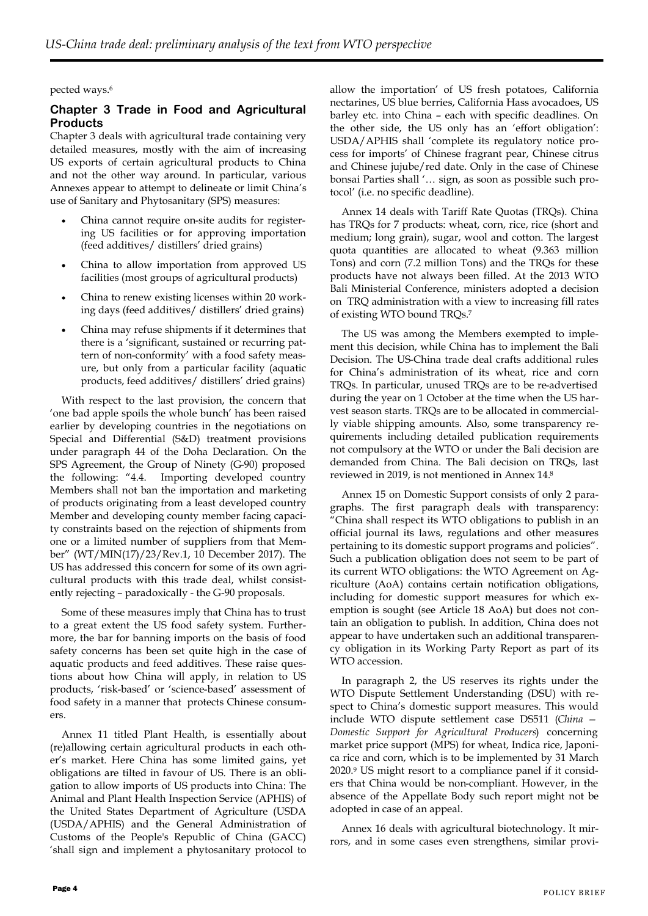#### pected ways.<sup>6</sup>

## **Chapter 3 Trade in Food and Agricultural Products**

Chapter 3 deals with agricultural trade containing very detailed measures, mostly with the aim of increasing US exports of certain agricultural products to China and not the other way around. In particular, various Annexes appear to attempt to delineate or limit China's use of Sanitary and Phytosanitary (SPS) measures:

- China cannot require on-site audits for registering US facilities or for approving importation (feed additives/ distillers' dried grains)
- China to allow importation from approved US facilities (most groups of agricultural products)
- China to renew existing licenses within 20 working days (feed additives/ distillers' dried grains)
- China may refuse shipments if it determines that there is a 'significant, sustained or recurring pattern of non-conformity' with a food safety measure, but only from a particular facility (aquatic products, feed additives/ distillers' dried grains)

With respect to the last provision, the concern that 'one bad apple spoils the whole bunch' has been raised earlier by developing countries in the negotiations on Special and Differential (S&D) treatment provisions under paragraph 44 of the Doha Declaration. On the SPS Agreement, the Group of Ninety (G-90) proposed the following: "4.4. Importing developed country Members shall not ban the importation and marketing of products originating from a least developed country Member and developing county member facing capacity constraints based on the rejection of shipments from one or a limited number of suppliers from that Member" (WT/MIN(17)/23/Rev.1, 10 December 2017). The US has addressed this concern for some of its own agricultural products with this trade deal, whilst consistently rejecting – paradoxically - the G-90 proposals.

Some of these measures imply that China has to trust to a great extent the US food safety system. Furthermore, the bar for banning imports on the basis of food safety concerns has been set quite high in the case of aquatic products and feed additives. These raise questions about how China will apply, in relation to US products, 'risk-based' or 'science-based' assessment of food safety in a manner that protects Chinese consumers.

Annex 11 titled Plant Health, is essentially about (re)allowing certain agricultural products in each other's market. Here China has some limited gains, yet obligations are tilted in favour of US. There is an obligation to allow imports of US products into China: The Animal and Plant Health Inspection Service (APHIS) of the United States Department of Agriculture (USDA (USDA/APHIS) and the General Administration of Customs of the People's Republic of China (GACC) 'shall sign and implement a phytosanitary protocol to

allow the importation' of US fresh potatoes, California nectarines, US blue berries, California Hass avocadoes, US barley etc. into China – each with specific deadlines. On the other side, the US only has an 'effort obligation': USDA/APHIS shall 'complete its regulatory notice process for imports' of Chinese fragrant pear, Chinese citrus and Chinese jujube/red date. Only in the case of Chinese bonsai Parties shall '… sign, as soon as possible such protocol' (i.e. no specific deadline).

Annex 14 deals with Tariff Rate Quotas (TRQs). China has TRQs for 7 products: wheat, corn, rice, rice (short and medium; long grain), sugar, wool and cotton. The largest quota quantities are allocated to wheat (9.363 million Tons) and corn (7.2 million Tons) and the TRQs for these products have not always been filled. At the 2013 WTO Bali Ministerial Conference, ministers adopted a decision on TRQ administration with a view to increasing fill rates of existing WTO bound TRQs.<sup>7</sup>

The US was among the Members exempted to implement this decision, while China has to implement the Bali Decision. The US-China trade deal crafts additional rules for China's administration of its wheat, rice and corn TRQs. In particular, unused TRQs are to be re-advertised during the year on 1 October at the time when the US harvest season starts. TRQs are to be allocated in commercially viable shipping amounts. Also, some transparency requirements including detailed publication requirements not compulsory at the WTO or under the Bali decision are demanded from China. The Bali decision on TRQs, last reviewed in 2019, is not mentioned in Annex 14.<sup>8</sup>

Annex 15 on Domestic Support consists of only 2 paragraphs. The first paragraph deals with transparency: "China shall respect its WTO obligations to publish in an official journal its laws, regulations and other measures pertaining to its domestic support programs and policies". Such a publication obligation does not seem to be part of its current WTO obligations: the WTO Agreement on Agriculture (AoA) contains certain notification obligations, including for domestic support measures for which exemption is sought (see Article 18 AoA) but does not contain an obligation to publish. In addition, China does not appear to have undertaken such an additional transparency obligation in its Working Party Report as part of its WTO accession.

In paragraph 2, the US reserves its rights under the WTO Dispute Settlement Understanding (DSU) with respect to China's domestic support measures. This would include WTO dispute settlement case DS511 (*China — Domestic Support for Agricultural Producers*) concerning market price support (MPS) for wheat, Indica rice, Japonica rice and corn, which is to be implemented by 31 March 2020.<sup>9</sup> US might resort to a compliance panel if it considers that China would be non-compliant. However, in the absence of the Appellate Body such report might not be adopted in case of an appeal.

Annex 16 deals with agricultural biotechnology. It mirrors, and in some cases even strengthens, similar provi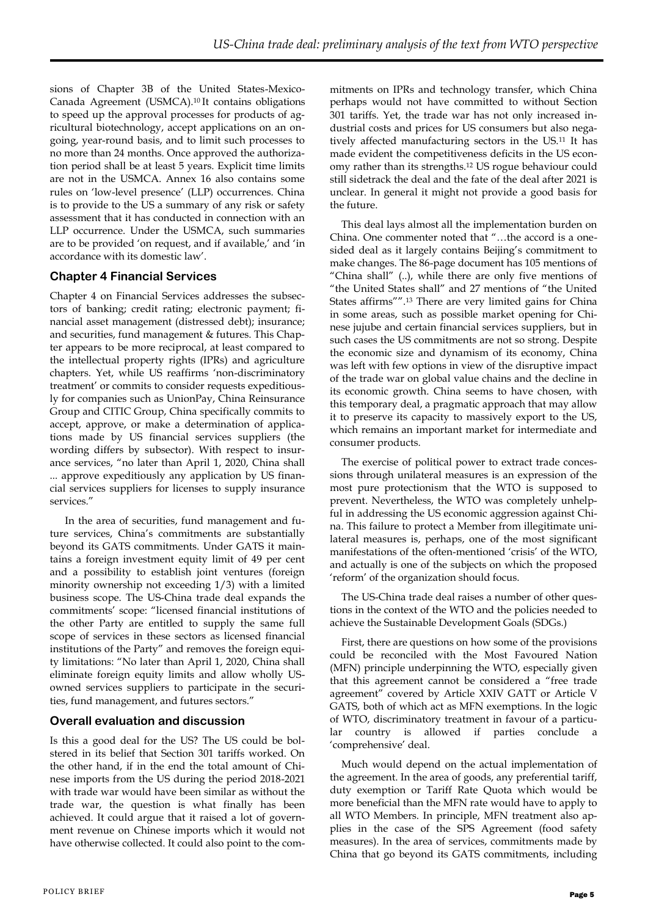sions of Chapter 3B of the United States-Mexico-Canada Agreement (USMCA).10 It contains obligations to speed up the approval processes for products of agricultural biotechnology, accept applications on an ongoing, year-round basis, and to limit such processes to no more than 24 months. Once approved the authorization period shall be at least 5 years. Explicit time limits are not in the USMCA. Annex 16 also contains some rules on 'low-level presence' (LLP) occurrences. China is to provide to the US a summary of any risk or safety assessment that it has conducted in connection with an LLP occurrence. Under the USMCA, such summaries are to be provided 'on request, and if available,' and 'in accordance with its domestic law'.

## **Chapter 4 Financial Services**

Chapter 4 on Financial Services addresses the subsectors of banking; credit rating; electronic payment; financial asset management (distressed debt); insurance; and securities, fund management & futures. This Chapter appears to be more reciprocal, at least compared to the intellectual property rights (IPRs) and agriculture chapters. Yet, while US reaffirms 'non-discriminatory treatment' or commits to consider requests expeditiously for companies such as UnionPay, China Reinsurance Group and CITIC Group, China specifically commits to accept, approve, or make a determination of applications made by US financial services suppliers (the wording differs by subsector). With respect to insurance services, "no later than April 1, 2020, China shall ... approve expeditiously any application by US financial services suppliers for licenses to supply insurance services."

In the area of securities, fund management and future services, China's commitments are substantially beyond its GATS commitments. Under GATS it maintains a foreign investment equity limit of 49 per cent and a possibility to establish joint ventures (foreign minority ownership not exceeding 1/3) with a limited business scope. The US-China trade deal expands the commitments' scope: "licensed financial institutions of the other Party are entitled to supply the same full scope of services in these sectors as licensed financial institutions of the Party" and removes the foreign equity limitations: "No later than April 1, 2020, China shall eliminate foreign equity limits and allow wholly USowned services suppliers to participate in the securities, fund management, and futures sectors."

## **Overall evaluation and discussion**

Is this a good deal for the US? The US could be bolstered in its belief that Section 301 tariffs worked. On the other hand, if in the end the total amount of Chinese imports from the US during the period 2018-2021 with trade war would have been similar as without the trade war, the question is what finally has been achieved. It could argue that it raised a lot of government revenue on Chinese imports which it would not have otherwise collected. It could also point to the com-

mitments on IPRs and technology transfer, which China perhaps would not have committed to without Section 301 tariffs. Yet, the trade war has not only increased industrial costs and prices for US consumers but also negatively affected manufacturing sectors in the US.<sup>11</sup> It has made evident the competitiveness deficits in the US economy rather than its strengths. <sup>12</sup> US rogue behaviour could still sidetrack the deal and the fate of the deal after 2021 is unclear. In general it might not provide a good basis for the future.

This deal lays almost all the implementation burden on China. One commenter noted that "…the accord is a onesided deal as it largely contains Beijing's commitment to make changes. The 86-page document has 105 mentions of "China shall" (..), while there are only five mentions of "the United States shall" and 27 mentions of "the United States affirms"".<sup>13</sup> There are very limited gains for China in some areas, such as possible market opening for Chinese jujube and certain financial services suppliers, but in such cases the US commitments are not so strong. Despite the economic size and dynamism of its economy, China was left with few options in view of the disruptive impact of the trade war on global value chains and the decline in its economic growth. China seems to have chosen, with this temporary deal, a pragmatic approach that may allow it to preserve its capacity to massively export to the US, which remains an important market for intermediate and consumer products.

The exercise of political power to extract trade concessions through unilateral measures is an expression of the most pure protectionism that the WTO is supposed to prevent. Nevertheless, the WTO was completely unhelpful in addressing the US economic aggression against China. This failure to protect a Member from illegitimate unilateral measures is, perhaps, one of the most significant manifestations of the often-mentioned 'crisis' of the WTO, and actually is one of the subjects on which the proposed 'reform' of the organization should focus.

The US-China trade deal raises a number of other questions in the context of the WTO and the policies needed to achieve the Sustainable Development Goals (SDGs.)

First, there are questions on how some of the provisions could be reconciled with the Most Favoured Nation (MFN) principle underpinning the WTO, especially given that this agreement cannot be considered a "free trade agreement" covered by Article XXIV GATT or Article V GATS, both of which act as MFN exemptions. In the logic of WTO, discriminatory treatment in favour of a particular country is allowed if parties conclude 'comprehensive' deal.

Much would depend on the actual implementation of the agreement. In the area of goods, any preferential tariff, duty exemption or Tariff Rate Quota which would be more beneficial than the MFN rate would have to apply to all WTO Members. In principle, MFN treatment also applies in the case of the SPS Agreement (food safety measures). In the area of services, commitments made by China that go beyond its GATS commitments, including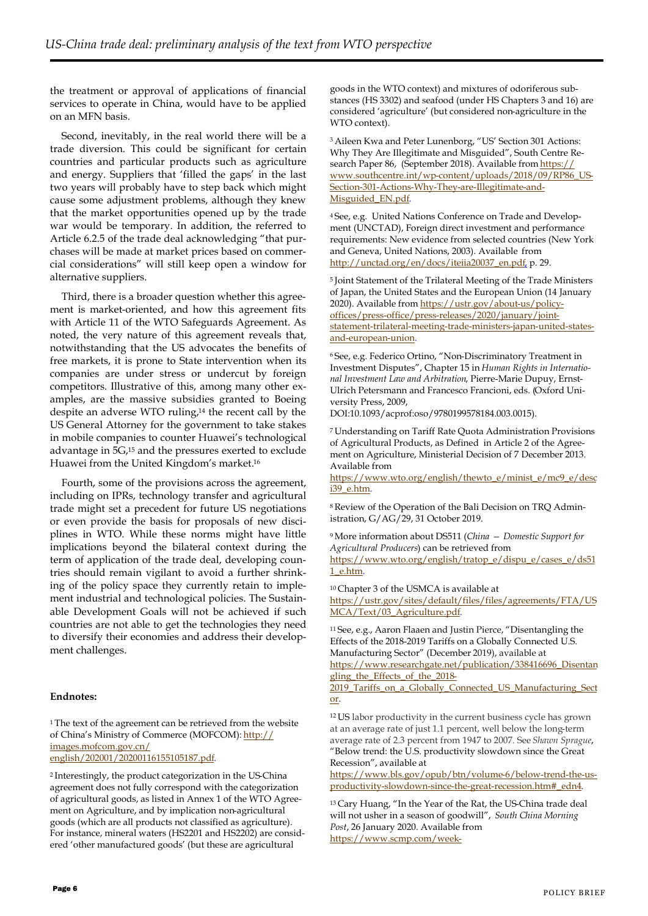the treatment or approval of applications of financial services to operate in China, would have to be applied on an MFN basis.

Second, inevitably, in the real world there will be a trade diversion. This could be significant for certain countries and particular products such as agriculture and energy. Suppliers that 'filled the gaps' in the last two years will probably have to step back which might cause some adjustment problems, although they knew that the market opportunities opened up by the trade war would be temporary. In addition, the referred to Article 6.2.5 of the trade deal acknowledging "that purchases will be made at market prices based on commercial considerations" will still keep open a window for alternative suppliers.

Third, there is a broader question whether this agreement is market-oriented, and how this agreement fits with Article 11 of the WTO Safeguards Agreement. As noted, the very nature of this agreement reveals that, notwithstanding that the US advocates the benefits of free markets, it is prone to State intervention when its companies are under stress or undercut by foreign competitors. Illustrative of this, among many other examples, are the massive subsidies granted to Boeing despite an adverse WTO ruling,<sup>14</sup> the recent call by the US General Attorney for the government to take stakes in mobile companies to counter Huawei's technological advantage in 5G,<sup>15</sup> and the pressures exerted to exclude Huawei from the United Kingdom's market.<sup>16</sup>

Fourth, some of the provisions across the agreement, including on IPRs, technology transfer and agricultural trade might set a precedent for future US negotiations or even provide the basis for proposals of new disciplines in WTO. While these norms might have little implications beyond the bilateral context during the term of application of the trade deal, developing countries should remain vigilant to avoid a further shrinking of the policy space they currently retain to implement industrial and technological policies. The Sustainable Development Goals will not be achieved if such countries are not able to get the technologies they need to diversify their economies and address their development challenges.

#### **Endnotes:**

<sup>1</sup>The text of the agreement can be retrieved from the website of China's Ministry of Commerce (MOFCOM): [http://](http://images.mofcom.gov.cn/english/202001/20200116155105187.pdf) [images.mofcom.gov.cn/](http://images.mofcom.gov.cn/english/202001/20200116155105187.pdf) [english/202001/20200116155105187.pdf.](http://images.mofcom.gov.cn/english/202001/20200116155105187.pdf)

<sup>2</sup>Interestingly, the product categorization in the US-China agreement does not fully correspond with the categorization of agricultural goods, as listed in Annex 1 of the WTO Agreement on Agriculture, and by implication non-agricultural goods (which are all products not classified as agriculture). For instance, mineral waters (HS2201 and HS2202) are considered 'other manufactured goods' (but these are agricultural

goods in the WTO context) and mixtures of odoriferous substances (HS 3302) and seafood (under HS Chapters 3 and 16) are considered 'agriculture' (but considered non-agriculture in the WTO context).

<sup>3</sup>Aileen Kwa and Peter Lunenborg, "US' Section 301 Actions: Why They Are Illegitimate and Misguided", South Centre Research Paper 86, (September 2018). Available from [https://](https://www.southcentre.int/wp-content/uploads/2018/09/RP86_US-Section-301-Actions-Why-They-are-Illegitimate-and-Misguided_EN.pdf) [www.southcentre.int/wp-content/uploads/2018/09/RP86\\_US-](https://www.southcentre.int/wp-content/uploads/2018/09/RP86_US-Section-301-Actions-Why-They-are-Illegitimate-and-Misguided_EN.pdf)[Section-301-Actions-Why-They-are-Illegitimate-and-](https://www.southcentre.int/wp-content/uploads/2018/09/RP86_US-Section-301-Actions-Why-They-are-Illegitimate-and-Misguided_EN.pdf)[Misguided\\_EN.pdf.](https://www.southcentre.int/wp-content/uploads/2018/09/RP86_US-Section-301-Actions-Why-They-are-Illegitimate-and-Misguided_EN.pdf)

4 See, e.g. United Nations Conference on Trade and Development (UNCTAD), Foreign direct investment and performance requirements: New evidence from selected countries (New York and Geneva, United Nations, 2003). Available from [http://unctad.org/en/docs/iteiia20037\\_en.pdf,](http://unctad.org/en/docs/iteiia20037_en.pdf) p. 29.

<sup>5</sup> Joint Statement of the Trilateral Meeting of the Trade Ministers of Japan, the United States and the European Union (14 January 2020). Available from [https://ustr.gov/about-us/policy](https://ustr.gov/about-us/policy-offices/press-office/press-releases/2020/january/joint-statement-trilateral-meeting-trade-ministers-japan-united-states-and-european-union)[offices/press-office/press-releases/2020/january/joint](https://ustr.gov/about-us/policy-offices/press-office/press-releases/2020/january/joint-statement-trilateral-meeting-trade-ministers-japan-united-states-and-european-union)[statement-trilateral-meeting-trade-ministers-japan-united-states](https://ustr.gov/about-us/policy-offices/press-office/press-releases/2020/january/joint-statement-trilateral-meeting-trade-ministers-japan-united-states-and-european-union)[and-european-union.](https://ustr.gov/about-us/policy-offices/press-office/press-releases/2020/january/joint-statement-trilateral-meeting-trade-ministers-japan-united-states-and-european-union)

<sup>6</sup>See, e.g. Federico Ortino, "Non-Discriminatory Treatment in Investment Disputes", Chapter 15 in *Human Rights in International Investment Law and Arbitration*, Pierre-Marie Dupuy, Ernst-Ulrich Petersmann and Francesco Francioni, eds. (Oxford University Press, 2009,

DOI:10.1093/acprof:oso/9780199578184.003.0015).

<sup>7</sup>Understanding on Tariff Rate Quota Administration Provisions of Agricultural Products, as Defined in Article 2 of the Agreement on Agriculture, Ministerial Decision of 7 December 2013. Available from

[https://www.wto.org/english/thewto\\_e/minist\\_e/mc9\\_e/desc](https://www.wto.org/english/thewto_e/minist_e/mc9_e/desci39_e.htm) [i39\\_e.htm.](https://www.wto.org/english/thewto_e/minist_e/mc9_e/desci39_e.htm)

8 Review of the Operation of the Bali Decision on TRQ Administration, G/AG/29, 31 October 2019.

<sup>9</sup>More information about DS511 (*China — Domestic Support for Agricultural Producers*) can be retrieved from [https://www.wto.org/english/tratop\\_e/dispu\\_e/cases\\_e/ds51](https://www.wto.org/english/tratop_e/dispu_e/cases_e/ds511_e.htm)

[1\\_e.htm.](https://www.wto.org/english/tratop_e/dispu_e/cases_e/ds511_e.htm)

<sup>10</sup>Chapter 3 of the USMCA is available at [https://ustr.gov/sites/default/files/files/agreements/FTA/US](https://ustr.gov/sites/default/files/files/agreements/FTA/USMCA/Text/03_Agriculture.pdf) [MCA/Text/03\\_Agriculture.pdf.](https://ustr.gov/sites/default/files/files/agreements/FTA/USMCA/Text/03_Agriculture.pdf)

<sup>11</sup>See, e.g., Aaron Flaaen and Justin Pierce, "Disentangling the Effects of the 2018-2019 Tariffs on a Globally Connected U.S. Manufacturing Sector" (December 2019), available at

[https://www.researchgate.net/publication/338416696\\_Disentan](https://www.researchgate.net/publication/338416696_Disentangling_the_Effects_of_the_2018-2019_Tariffs_on_a_Globally_Connected_US_Manufacturing_Sector) [gling\\_the\\_Effects\\_of\\_the\\_2018-](https://www.researchgate.net/publication/338416696_Disentangling_the_Effects_of_the_2018-2019_Tariffs_on_a_Globally_Connected_US_Manufacturing_Sector)

2019 Tariffs on a Globally Connected US Manufacturing Sect [or.](https://www.researchgate.net/publication/338416696_Disentangling_the_Effects_of_the_2018-2019_Tariffs_on_a_Globally_Connected_US_Manufacturing_Sector)

<sup>12</sup>US labor productivity in the current business cycle has grown at an average rate of just 1.1 percent, well below the long-term average rate of 2.3 percent from 1947 to 2007. See *Shawn Sprague*, "Below trend: the U.S. productivity slowdown since the Great Recession", available at

[https://www.bls.gov/opub/btn/volume-6/below-trend-the-us](https://www.bls.gov/opub/btn/volume-6/below-trend-the-us-productivity-slowdown-since-the-great-recession.htm#_edn4)[productivity-slowdown-since-the-great-recession.htm#\\_edn4.](https://www.bls.gov/opub/btn/volume-6/below-trend-the-us-productivity-slowdown-since-the-great-recession.htm#_edn4)

<sup>13</sup> Cary Huang, "In the Year of the Rat, the US-China trade deal will not usher in a season of goodwill", *South China Morning Post*, 26 January 2020. Available from [https://www.scmp.com/week-](https://www.scmp.com/week-asia/opinion/article/3047341/year-rat-us-china-trade-deal-will-not-usher-season-goodwill)